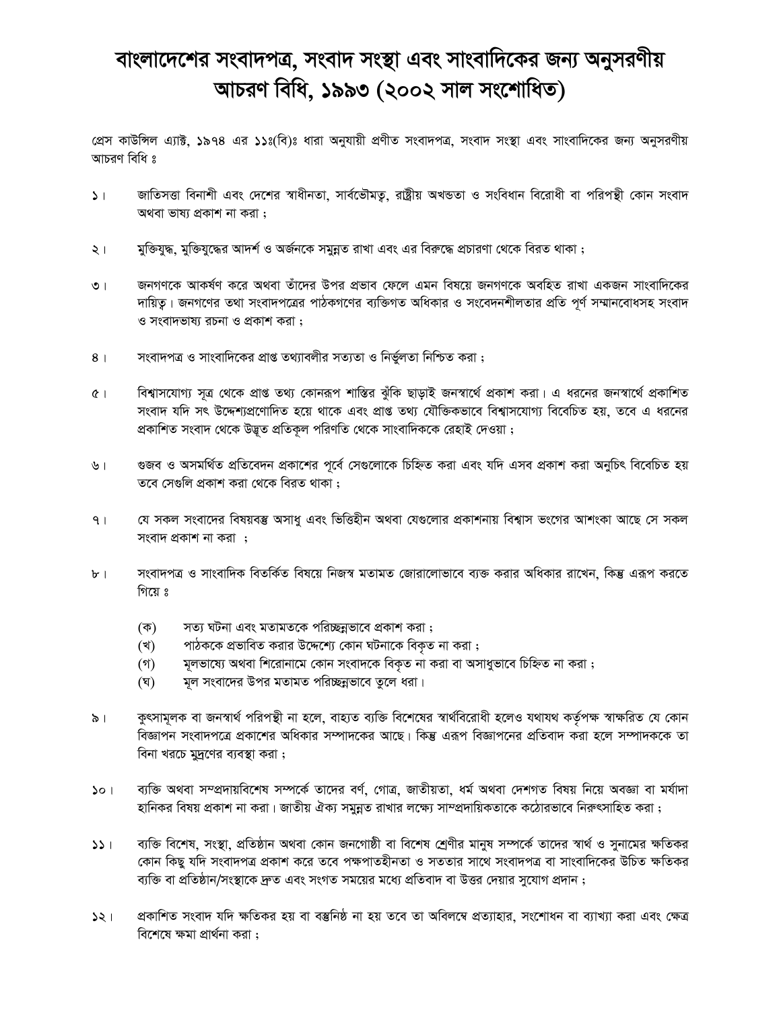## বাংলাদেশের সংবাদপত্র, সংবাদ সংস্থা এবং সাংবাদিকের জন্য অনুসরণীয় আচরণ বিধি, ১৯৯৩ (২০০২ সাল সংশোধিত)

প্রেস কাউন্সিল এ্যাক্ট, ১৯৭৪ এর ১১ঃ(বি)ঃ ধারা অনুযায়ী প্রণীত সংবাদপত্র, সংবাদ সংস্থা এবং সাংবাদিকের জন্য অনুসরণীয় আচরণ বিধি ঃ

- জাতিসত্তা বিনাশী এবং দেশের স্বাধীনতা, সার্বভৌমতু, রাষ্ট্রীয় অখন্ডতা ও সংবিধান বিরোধী বা পরিপন্থী কোন সংবাদ  $\mathbf{L}$ অথবা ভাষ্য প্রকাশ না করা:
- মুক্তিযুদ্ধ, মুক্তিযুদ্ধের আদর্শ ও অর্জনকে সমূন্নত রাখা এবং এর বিরুদ্ধে প্রচারণা থেকে বিরত থাকা ;  $\lambda$
- জনগণকে আকর্ষণ করে অথবা তাঁদের উপর প্রভাব ফেলে এমন বিষয়ে জনগণকে অবহিত রাখা একজন সাংবাদিকের  $\overline{O}$ দায়িত। জনগণের তথা সংবাদপত্রের পাঠকগণের ব্যক্তিগত অধিকার ও সংবেদনশীলতার প্রতি পর্ণ সম্মানবোধসহ সংবাদ ও সংবাদভাষ্য রচনা ও প্রকাশ করা;
- সংবাদপত্র ও সাংবাদিকের প্রাপ্ত তথ্যাবলীর সত্যতা ও নির্ভুলতা নিশ্চিত করা;  $8<sup>1</sup>$
- বিশ্বাসযোগ্য সূত্র থেকে প্রাপ্ত তথ্য কোনরূপ শাস্তির ঝুঁকি ছাড়াই জনস্বার্থে প্রকাশ করা। এ ধরনের জনস্বার্থে প্রকাশিত  $\alpha$ সংবাদ যদি সৎ উদ্দেশ্যপ্রণোদিত হয়ে থাকে এবং প্রাপ্ত তথ্য যৌক্তিকভাবে বিশ্বাসযোগ্য বিবেচিত হয়, তবে এ ধরনের প্রকাশিত সংবাদ থেকে উদ্ভূত প্রতিকূল পরিণতি থেকে সাংবাদিককে রেহাই দেওয়া ;
- গুজব ও অসমর্থিত প্রতিবেদন প্রকাশের পূর্বে সেগুলোকে চিহ্নিত করা এবং যদি এসব প্রকাশ করা অনুচিৎ বিবেচিত হয়  $\sqrt{2}$ তবে সেগুলি প্রকাশ করা থেকে বিরত থাকা ;
- যে সকল সংবাদের বিষয়বস্তু অসাধু এবং ভিত্তিহীন অথবা যেগুলোর প্রকাশনায় বিশ্বাস ভংগের আশংকা আছে সে সকল  $\overline{9}$ সংবাদ প্ৰকাশ না করা ;
- সংবাদপত্র ও সাংবাদিক বিতর্কিত বিষয়ে নিজস্ব মতামত জোরালোভাবে ব্যক্ত করার অধিকার রাখেন, কিন্তু এরূপ করতে  $b$ <sup>-1</sup> গিয়ে ঃ
	- সত্য ঘটনা এবং মতামতকে পরিচ্ছন্নভাবে প্রকাশ করা; (ক)
	- (খ) পাঠককে প্রভাবিত করার উদ্দেশ্যে কোন ঘটনাকে বিকৃত না করা ;
	- মূলভাষ্যে অথবা শিরোনামে কোন সংবাদকে বিকৃত না করা বা অসাধুভাবে চিহ্নিত না করা ;  $($ গ)
	- মূল সংবাদের উপর মতামত পরিচ্ছন্নভাবে তুলে ধরা।  $(\nabla)$
- কুৎসামূলক বা জনস্বার্থ পরিপন্থী না হলে, বাহ্যত ব্যক্তি বিশেষের স্বার্থবিরোধী হলেও যথাযথ কর্তৃপক্ষ স্বাক্ষরিত যে কোন  $\delta$ । বিজ্ঞাপন সংবাদপত্রে প্রকাশের অধিকার সম্পাদকের আছে। কিন্তু এরূপ বিজ্ঞাপনের প্রতিবাদ করা হলে সম্পাদককে তা বিনা খরচে মুদ্রণের ব্যবস্থা করা;
- ব্যক্তি অথবা সম্প্রদায়বিশেষ সম্পর্কে তাদের বর্ণ, গোত্র, জাতীয়তা, ধর্ম অথবা দেশগত বিষয় নিয়ে অবজ্ঞা বা মর্যাদা  $30<sub>1</sub>$ হানিকর বিষয় প্রকাশ না করা। জাতীয় ঐক্য সমুন্নত রাখার লক্ষ্যে সাম্প্রদায়িকতাকে কঠোরভাবে নিরুৎসাহিত করা ;
- ব্যক্তি বিশেষ, সংস্থা, প্রতিষ্ঠান অথবা কোন জনগোষ্ঠী বা বিশেষ শ্রেণীর মানুষ সম্পর্কে তাদের স্বার্থ ও সুনামের ক্ষতিকর  $331$ কোন কিছু যদি সংবাদপত্র প্রকাশ করে তবে পক্ষপাতহীনতা ও সততার সাথে সংবাদপত্র বা সাংবাদিকের উচিত ক্ষতিকর ব্যক্তি বা প্রতিষ্ঠান/সংস্থাকে দ্রুত এবং সংগত সময়ের মধ্যে প্রতিবাদ বা উত্তর দেয়ার সুযোগ প্রদান ;
- প্রকাশিত সংবাদ যদি ক্ষতিকর হয় বা বস্তুনিষ্ঠ না হয় তবে তা অবিলম্বে প্রত্যাহার, সংশোধন বা ব্যাখ্যা করা এবং ক্ষেত্র  $331$ বিশেষে ক্ষমা প্রার্থনা করা: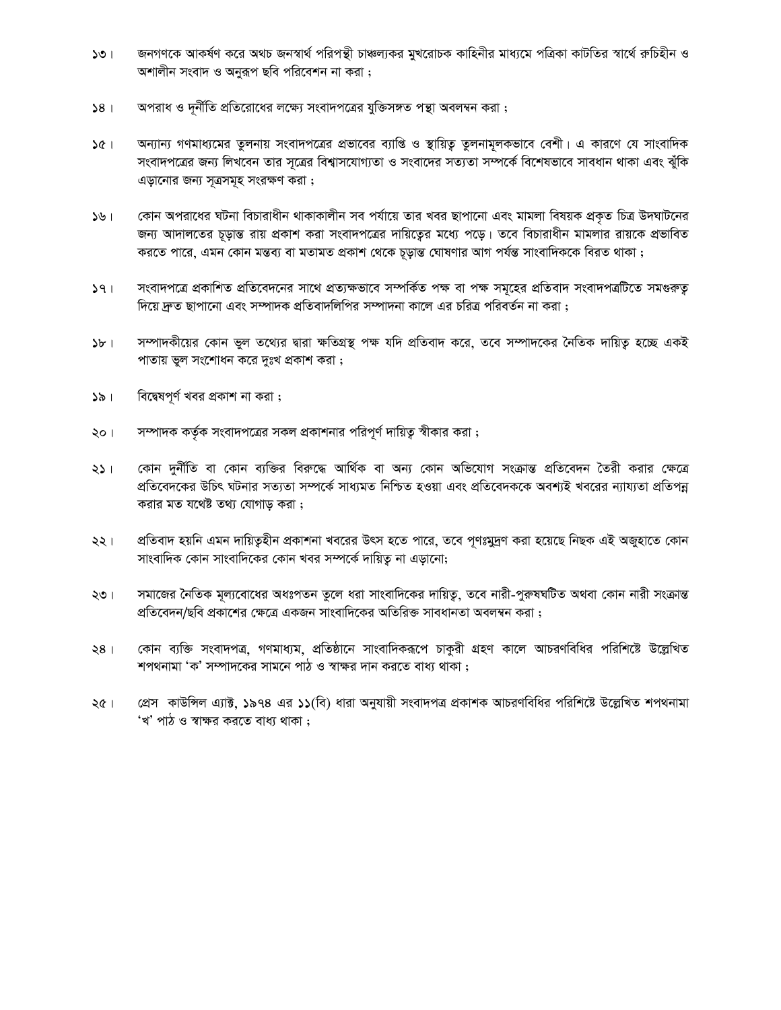- জনগণকে আকর্ষণ করে অথচ জনস্বার্থ পরিপন্থী চাঞ্চল্যকর মুখরোচক কাহিনীর মাধ্যমে পত্রিকা কাটতির স্বার্থে রুচিহীন ও  $501$ অশালীন সংবাদ ও অনুরূপ ছবি পরিবেশন না করা ;
- অপরাধ ও দূর্নীতি প্রতিরোধের লক্ষ্যে সংবাদপত্রের যুক্তিসঙ্গত পন্থা অবলম্বন করা;  $58<sub>1</sub>$
- অন্যান্য গণমাধ্যমের তুলনায় সংবাদপত্রের প্রভাবের ব্যাপ্তি ও স্থায়িতু তুলনামূলকভাবে বেশী। এ কারণে যে সাংবাদিক  $361$ সংবাদপত্রের জন্য লিখবেন তার সূত্রের বিশ্বাসযোগ্যতা ও সংবাদের সত্যতা সম্পর্কে বিশেষভাবে সাবধান থাকা এবং ঝুঁকি এড়ানোর জন্য সূত্রসমূহ সংরক্ষণ করা;
- কোন অপরাধের ঘটনা বিচারাধীন থাকাকালীন সব পর্যায়ে তার খবর ছাপানো এবং মামলা বিষয়ক প্রকৃত চিত্র উদঘাটনের  $192$ জন্য আদালতের চূড়ান্ত রায় প্রকাশ করা সংবাদপত্রের দায়িত্বের মধ্যে পড়ে। তবে বিচারাধীন মামলার রায়কে প্রভাবিত করতে পারে, এমন কোন মন্তব্য বা মতামত প্রকাশ থেকে চূড়ান্ত ঘোষণার আগ পর্যন্ত সাংবাদিককে বিরত থাকা ;
- সংবাদপত্রে প্রকাশিত প্রতিবেদনের সাথে প্রত্যক্ষভাবে সম্পর্কিত পক্ষ বা পক্ষ সমূহের প্রতিবাদ সংবাদপত্রটিতে সমগুরুতু  $391$ দিয়ে দ্রুত ছাপানো এবং সম্পাদক প্রতিবাদলিপির সম্পাদনা কালে এর চরিত্র পরিবর্তন না করা ;
- সম্পাদকীয়ের কোন ভুল তথ্যের দ্বারা ক্ষতিগ্রস্থ পক্ষ যদি প্রতিবাদ করে, তবে সম্পাদকের নৈতিক দায়িতু হচ্ছে একই  $5b +$ পাতায় ভুল সংশোধন করে দুঃখ প্রকাশ করা ;
- বিদ্বেষপূর্ণ খবর প্রকাশ না করা;  $351$
- সম্পাদক কর্তৃক সংবাদপত্রের সকল প্রকাশনার পরিপূর্ণ দায়িত্ব স্বীকার করা; ২০।
- কোন দুর্নীতি বা কোন ব্যক্তির বিরুদ্ধে আর্থিক বা অন্য কোন অভিযোগ সংক্রান্ত প্রতিবেদন তৈরী করার ক্ষেত্রে ২১ । প্রতিবেদকের উচিৎ ঘটনার সত্যতা সম্পর্কে সাধ্যমত নিশ্চিত হওয়া এবং প্রতিবেদককে অবশ্যই খবরের ন্যায্যতা প্রতিপন্ন করার মত যথেষ্ট তথ্য যোগাড় করা;
- প্রতিবাদ হয়নি এমন দায়িতুহীন প্রকাশনা খবরের উৎস হতে পারে, তবে পূণঃমুদ্রণ করা হয়েছে নিছক এই অজুহাতে কোন ২২। সাংবাদিক কোন সাংবাদিকের কোন খবর সম্পর্কে দায়িত না এডানো;
- সমাজের নৈতিক মূল্যবোধের অধঃপতন তুলে ধরা সাংবাদিকের দায়িতু, তবে নারী-পুরুষঘটিত অথবা কোন নারী সংক্রান্ত ২৩। প্রতিবেদন/ছবি প্রকাশের ক্ষেত্রে একজন সাংবাদিকের অতিরিক্ত সাবধানতা অবলম্বন করা ;
- কোন ব্যক্তি সংবাদপত্র, গণমাধ্যম, প্রতিষ্ঠানে সাংবাদিকরূপে চাকুরী গ্রহণ কালে আচরণবিধির পরিশিষ্টে উল্লেখিত  $28<sub>1</sub>$ শপথনামা 'ক' সম্পাদকের সামনে পাঠ ও স্বাক্ষর দান করতে বাধ্য থাকা ;
- প্রেস কাউন্সিল এ্যাক্ট, ১৯৭৪ এর ১১(বি) ধারা অনুযায়ী সংবাদপত্র প্রকাশক আচরণবিধির পরিশিষ্টে উল্লেখিত শপথনামা  $\sqrt{6}$ 'খ' পাঠ ও স্বাক্ষর করতে বাধ্য থাকা :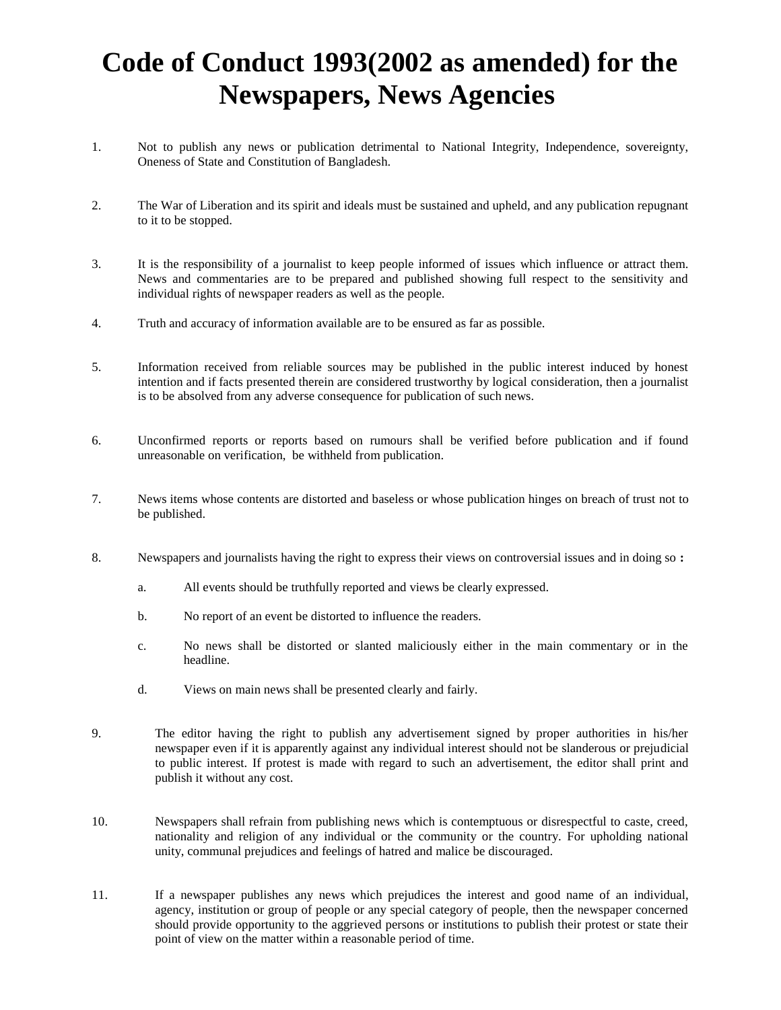## **Code of Conduct 1993(2002 as amended) for the Newspapers, News Agencies**

- 1. Not to publish any news or publication detrimental to National Integrity, Independence, sovereignty, Oneness of State and Constitution of Bangladesh.
- 2. The War of Liberation and its spirit and ideals must be sustained and upheld, and any publication repugnant to it to be stopped.
- 3. It is the responsibility of a journalist to keep people informed of issues which influence or attract them. News and commentaries are to be prepared and published showing full respect to the sensitivity and individual rights of newspaper readers as well as the people.
- 4. Truth and accuracy of information available are to be ensured as far as possible.
- 5. Information received from reliable sources may be published in the public interest induced by honest intention and if facts presented therein are considered trustworthy by logical consideration, then a journalist is to be absolved from any adverse consequence for publication of such news.
- 6. Unconfirmed reports or reports based on rumours shall be verified before publication and if found unreasonable on verification, be withheld from publication.
- 7. News items whose contents are distorted and baseless or whose publication hinges on breach of trust not to be published.
- 8. Newspapers and journalists having the right to express their views on controversial issues and in doing so **:**
	- a. All events should be truthfully reported and views be clearly expressed.
	- b. No report of an event be distorted to influence the readers.
	- c. No news shall be distorted or slanted maliciously either in the main commentary or in the headline.
	- d. Views on main news shall be presented clearly and fairly.
- 9. The editor having the right to publish any advertisement signed by proper authorities in his/her newspaper even if it is apparently against any individual interest should not be slanderous or prejudicial to public interest. If protest is made with regard to such an advertisement, the editor shall print and publish it without any cost.
- 10. Newspapers shall refrain from publishing news which is contemptuous or disrespectful to caste, creed, nationality and religion of any individual or the community or the country. For upholding national unity, communal prejudices and feelings of hatred and malice be discouraged.
- 11. If a newspaper publishes any news which prejudices the interest and good name of an individual, agency, institution or group of people or any special category of people, then the newspaper concerned should provide opportunity to the aggrieved persons or institutions to publish their protest or state their point of view on the matter within a reasonable period of time.